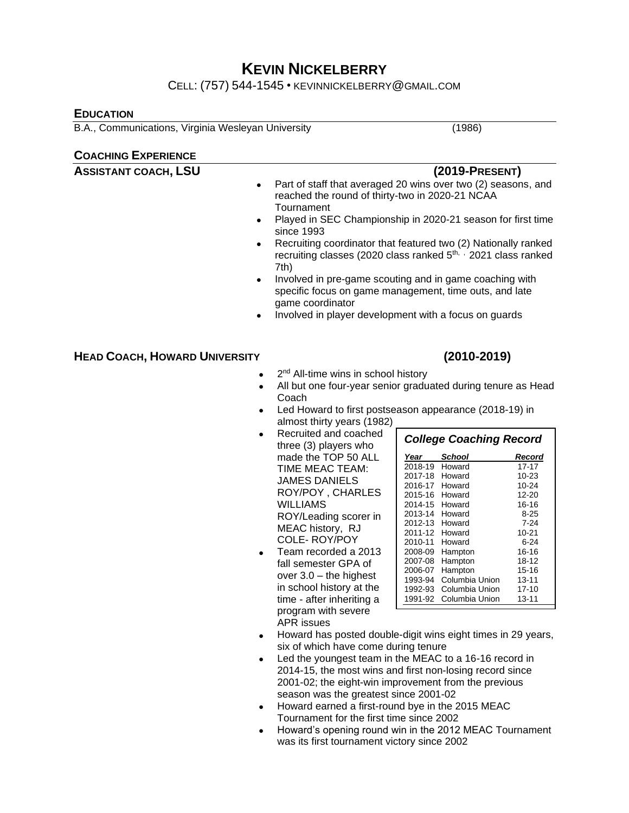# **KEVIN NICKELBERRY**

CELL: (757) 544-1545 • KEVINNICKELBERRY@GMAIL.COM

### **EDUCATION**

B.A., Communications, Virginia Wesleyan University (1986)

### **COACHING EXPERIENCE**

| <b>ASSISTANT COACH, LSU</b>          | $(2019-PRESENT)$<br>Part of staff that averaged 20 wins over two (2) seasons, and<br>reached the round of thirty-two in 2020-21 NCAA                 |  |  |
|--------------------------------------|------------------------------------------------------------------------------------------------------------------------------------------------------|--|--|
|                                      | Tournament                                                                                                                                           |  |  |
|                                      | Played in SEC Championship in 2020-21 season for first time<br>since 1993                                                                            |  |  |
| $\bullet$                            | Recruiting coordinator that featured two (2) Nationally ranked<br>recruiting classes (2020 class ranked 5 <sup>th, ,</sup> 2021 class ranked<br>7th) |  |  |
| $\bullet$                            | Involved in pre-game scouting and in game coaching with<br>specific focus on game management, time outs, and late<br>game coordinator                |  |  |
| $\bullet$                            | Involved in player development with a focus on guards                                                                                                |  |  |
| <b>HEAD COACH, HOWARD UNIVERSITY</b> | $(2010 - 2019)$                                                                                                                                      |  |  |
|                                      |                                                                                                                                                      |  |  |
|                                      | 2 <sup>nd</sup> All-time wins in school history                                                                                                      |  |  |

- All but one four-year senior graduated during tenure as Head Coach
- Led Howard to first postseason appearance (2018-19) in almost thirty years (1982)
- Recruited and coached three (3) players who made the TOP 50 ALL TIME MEAC TEAM: JAMES DANIELS ROY/POY , CHARLES WILLIAMS ROY/Leading scorer in MEAC history, RJ COLE- ROY/POY
- Team recorded a 2013 fall semester GPA of over 3.0 – the highest in school history at the time - after inheriting a program with severe APR issues

| <b>College Coaching Record</b> |                |        |
|--------------------------------|----------------|--------|
| Year                           | School         | Record |
| 2018-19                        | Howard         | 17-17  |
| 2017-18                        | Howard         | 10-23  |
| 2016-17                        | Howard         | 10-24  |
| 2015-16                        | Howard         | 12-20  |
| 2014-15                        | Howard         | 16-16  |
| 2013-14                        | Howard         | 8-25   |
| 2012-13                        | Howard         | 7-24   |
| 2011-12                        | Howard         | 10-21  |
| 2010-11                        | Howard         | հ-24   |
| 2008-09                        | Hampton        | 16-16  |
| 2007-08                        | Hampton        | 18-12  |
| 2006-07                        | Hampton        | 15-16  |
| 1993-94                        | Columbia Union | 13-11  |
| 1992-93                        | Columbia Union | 17-10  |
| 1991-92                        | Columbia Union | 13-11  |

*Career (14 years) 171-253*

- Howard has posted double-digit wins eight times in 29 years, six of which have come during tenure
- Led the youngest team in the MEAC to a 16-16 record in 2014-15, the most wins and first non-losing record since 2001-02; the eight-win improvement from the previous season was the greatest since 2001-02
- Howard earned a first-round bye in the 2015 MEAC Tournament for the first time since 2002
- Howard's opening round win in the 2012 MEAC Tournament was its first tournament victory since 2002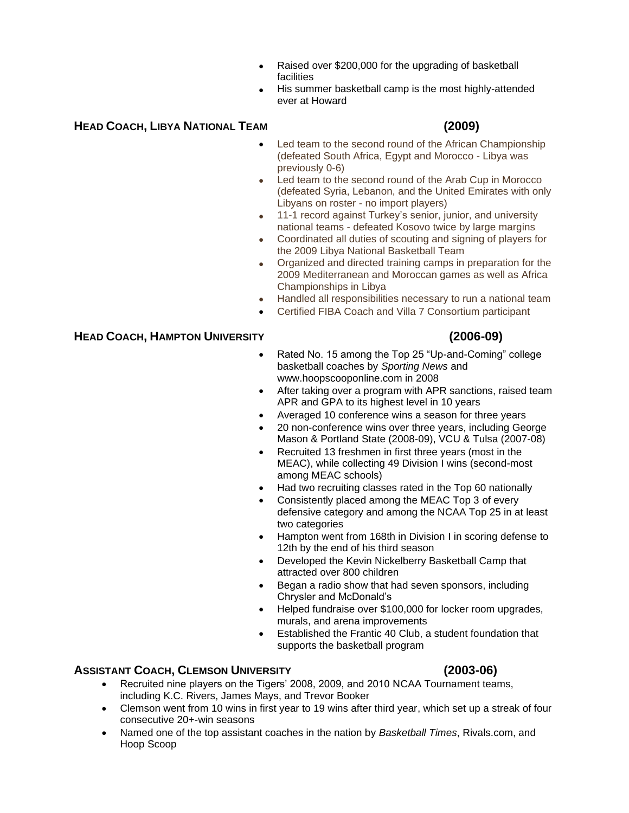- Raised over \$200,000 for the upgrading of basketball facilities
- His summer basketball camp is the most highly-attended ever at Howard

### **HEAD COACH, LIBYA NATIONAL TEAM (2009)**

- Led team to the second round of the African Championship (defeated South Africa, Egypt and Morocco - Libya was previously 0-6)
- Led team to the second round of the Arab Cup in Morocco (defeated Syria, Lebanon, and the United Emirates with only Libyans on roster - no import players)
- 11-1 record against Turkey's senior, junior, and university national teams - defeated Kosovo twice by large margins
- Coordinated all duties of scouting and signing of players for the 2009 Libya National Basketball Team
- Organized and directed training camps in preparation for the 2009 Mediterranean and Moroccan games as well as Africa Championships in Libya
- Handled all responsibilities necessary to run a national team
- Certified FIBA Coach and Villa 7 Consortium participant

### **HEAD COACH, HAMPTON UNIVERSITY (2006-09)**

- Rated No. 15 among the Top 25 "Up-and-Coming" college basketball coaches by *Sporting News* and www.hoopscooponline.com in 2008
- After taking over a program with APR sanctions, raised team APR and GPA to its highest level in 10 years
- Averaged 10 conference wins a season for three years
- 20 non-conference wins over three years, including George Mason & Portland State (2008-09), VCU & Tulsa (2007-08)
- Recruited 13 freshmen in first three years (most in the MEAC), while collecting 49 Division I wins (second-most among MEAC schools)
- Had two recruiting classes rated in the Top 60 nationally
- Consistently placed among the MEAC Top 3 of every defensive category and among the NCAA Top 25 in at least two categories
- Hampton went from 168th in Division I in scoring defense to 12th by the end of his third season
- Developed the Kevin Nickelberry Basketball Camp that attracted over 800 children
- Began a radio show that had seven sponsors, including Chrysler and McDonald's
- Helped fundraise over \$100,000 for locker room upgrades, murals, and arena improvements
- Established the Frantic 40 Club, a student foundation that supports the basketball program

### **ASSISTANT COACH, CLEMSON UNIVERSITY (2003-06)**

- Recruited nine players on the Tigers' 2008, 2009, and 2010 NCAA Tournament teams, including K.C. Rivers, James Mays, and Trevor Booker
- Clemson went from 10 wins in first year to 19 wins after third year, which set up a streak of four consecutive 20+-win seasons
- Named one of the top assistant coaches in the nation by *Basketball Times*, Rivals.com, and Hoop Scoop